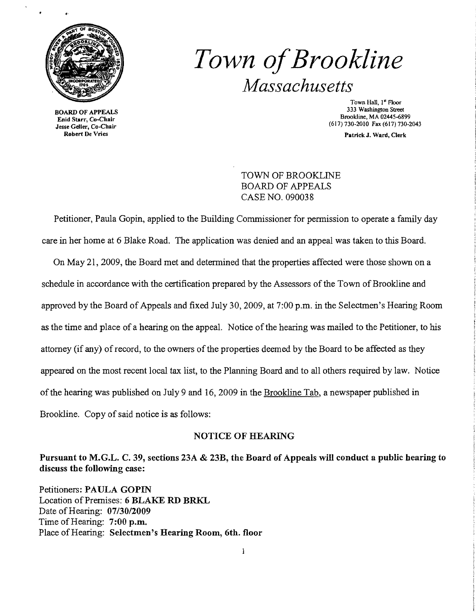

BOARD OF APPEALS Enid Starr, Co-Chair Jesse Geller, Co-Chair Robert De Vries

# *Town ofBrookline Massachusetts*

Town Hall, I" Floor 333 Washington Street Brookline, MA 02445-6899 (617)730-2010 Fax (617) 730-2043

Patrick J. Ward, Clerk

TOWN OF BROOKLINE BOARD OF APPEALS CASE NO. 090038

Petitioner, Paula Gopin, applied to the Building Commissioner for permission to operate a family day care in her home at 6 Blake Road. The application was denied and an appeal was taken to this Board.

On May 21,2009, the Board met and determined that the properties affected were those shown on a schedule in accordance with the certification prepared by the Assessors of the Town of Brookline and approved by the Board of Appeals and fixed July 30, 2009, at 7:00 p.m. in the Selectmen's Hearing Room as the time and place of a hearing on the appeal. Notice of the hearing was mailed to the Petitioner, to his attorney (if any) of record, to the owners of the properties deemed by the Board to be affected as they appeared on the most recent local tax list, to the Planning Board and to all others required by law. Notice of the hearing was published on July 9 and 16, 2009 in the Brookline Tab, a newspaper published in Brookline. Copy of said notice is as follows:

### NOTICE OF HEARING

Pursuant to M.G.L. C. 39, sections 23A & 23B, the Board of Appeals will conduct a public hearing to discuss the following case:

Petitioners: PAULA GOPIN Location of Premises: 6 BLAKE RD BRKL Date of Hearing: *07/30/2009*  Time of Hearing: 7:00 p.m. Place of Hearing: Selectmen's Hearing Room, 6th. floor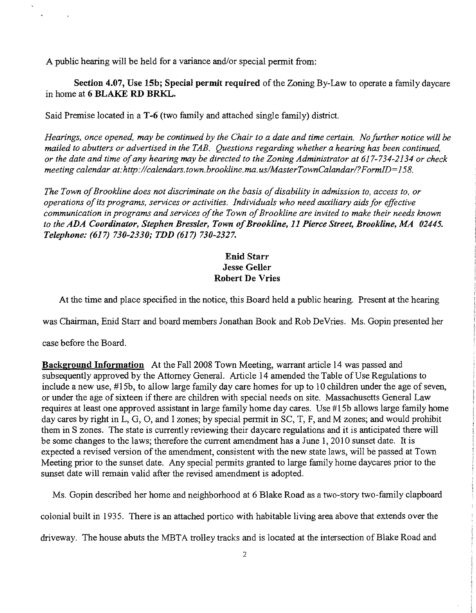A public hearing will be held for a variance and/or special permit from:

Section 4.07, Use 15b; Special permit required of the Zoning By-Law to operate a family daycare in home at 6 BLAKE RD BRKL.

Said Premise located in a T-6 (two family and attached single family) district.

*Hearings, once opened, may be continued by the Chair to a date and time certain. No further notice will be mailed to abutters or advertised in the TAB. Questions regarding whether a hearing has been continued, or the date and time ofany hearing may be directed to the Zoning Administrator at* 617-734-2134 *or check meeting calendar at:http://calendars.town.brookline.ma.us/MasterTownCalandarl?FormID=158.* 

The Town of Brookline does not discriminate on the basis of disability in admission to, access to, or *operations ofits programs, services or activities. Individuals who need auxiliary aidsfor effective communication in programs and services of the Town of Brookline are invited to make their needs known* to the ADA Coordinator, Stephen Bressler, Town of Brookline, 11 Pierce Street, Brookline, MA 02445. *Telephone:* (617) *730-2330; TDD* (617) *730-2327.* 

## Enid Starr Jesse Geller Robert De Vries

At the time and place specified in the notice, this Board held a public hearing. Present at the hearing

was Chairman, Enid Starr and board members Jonathan Book and Rob DeVries. Ms. Gopin presented her

case before the Board.

Background Information At the Fall 2008 Town Meeting, warrant article 14 was passed and subsequently approved by the Attorney General. Article 14 amended the Table of Use Regulations to include a new use, #15b, to allow large family day care homes for up to 10 children under the age of seven, or under the age of sixteen if there are children with special needs on site. Massachusetts General Law requires at least one approved assistant in large family home day cares. Use #lSb allows large family home day cares by right in L, G, 0, and I zones; by special permit in SC, T, F, and M zones; and would prohibit them in S zones. The state is currently reviewing their daycare regulations and it is anticipated there will be some changes to the laws; therefore the current amendment has a June 1, 2010 sunset date. It is expected a revised version of the amendment, consistent with the new state laws, will be passed at Town Meeting prior to the sunset date. Any special permits granted to large family home daycares prior to the sunset date will remain valid after the revised amendment is adopted.

Ms. Gopin described her home and neighborhood at 6 Blake Road as a two-story two-family clapboard

colonial built in 1935. There is an attached portico with habitable living area above that extends over the

driveway. The house abuts the META trolley tracks and is located at the intersection of Blake Road and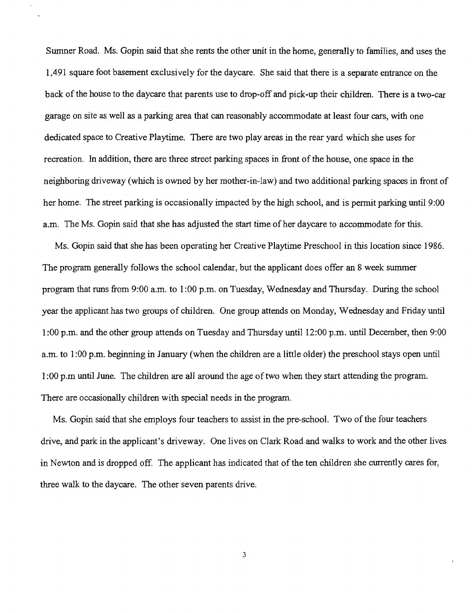Sumner Road. Ms. Gopin said that she rents the other unit in the home, generally to families, and uses the 1,491 square foot basement exclusively for the daycare. She said that there is a separate entrance on the back of the house to the daycare that parents use to drop-off and pick-up their children. There is a two-car garage on site as well as a parking area that can reasonably accommodate at least four ears, with one dedicated space to Creative Playtime. There are two play areas in the rear yard which she uses for recreation. In addition, there are three street parking spaces in front of the house, one space in the neighboring driveway (which is owned by her mother-in-law) and two additional parking spaces in front of her home. The street parking is occasionally impacted by the high school, and is permit parking until 9:00 a.m. The Ms. Gopin said that she has adjusted the start time of her daycare to accommodate for this.

Ms. Gopin said that she has been operating her Creative Playtime Preschool in this location since 1986. The program generally follows the school calendar, but the applicant does offer an 8 week summer program that runs from 9:00 a.m. to 1:00 p.m. on Tuesday, Wednesday and Thursday. During the school year the applicant has two groups of children. One group attends on Monday, Wednesday and Friday until 1:00 p.m. and the other group attends on Tuesday and Thursday until 12:00 p.m. until December, then 9:00 a.m. to 1:00 p.m. beginning in January (when the children are a little older) the preschool stays open until 1:00 p.m until June. The children are all around the age of two when they start attending the program. There are occasionally children with special needs in the program.

Ms. Gopin said that she employs four teachers to assist in the pre-school. Two of the four teachers drive, and park in the applicant's driveway. One lives on Clark Road and walks to work and the other lives in Newton and is dropped off. The applicant has indicated that of the ten children she currently cares for, three walk to the daycare. The other seven parents drive.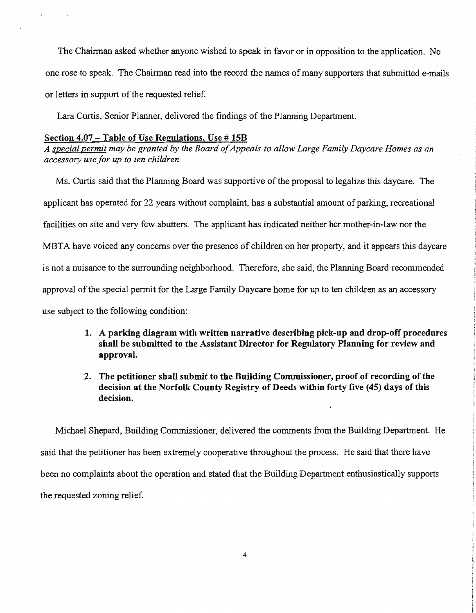The Chairman asked whether anyone wished to speak in favor or in opposition to the application. No one rose to speak. The Chairman read into the record the names of many supporters that submitted e-mails or letters in support of the requested relief.

Lara Curtis, Senior Planner, delivered the findings of the Planning Department.

#### Section 4.07 - Table of Use Regulations, Use # 15B

A special permit may be granted by the Board of Appeals to allow Large Family Daycare Homes as an *access01Y use for up to ten children.* 

Ms. Curtis said that the Planning Board was supportive of the proposal to legalize this daycare. The applicant has operated for 22 years without complaint, has a substantial amount of parking, recreational facilities on site and very few abutters. The applicant has indicated neither her mother-in-law nor the MBTA have voiced any concerns over the presence of children on her property, and it appears this daycare is not a nuisance to the surrounding neighborhood. Therefore, she said, the Planning Board recommended approval of the special permit for the Large Family Daycare home for up to ten children as an accessory use subject to the following condition:

- 1. A parking diagram with written narrative describing pick-up and drop-off procedures shall be submitted to the Assistant Director for Regulatory Planning for review and approval.
- 2. The petitioner shall submit to the Building Commissioner, proof of recording of the decision at the Norfolk County Registry of Deeds within forty five (45) days of this decision.

Michael Shepard, Building Commissioner, delivered the comments from the Building Department. He said that the petitioner has been extremely cooperative throughout the process. He said that there have been no complaints about the operation and stated that the Building Department enthusiastically supports the requested zoning relief.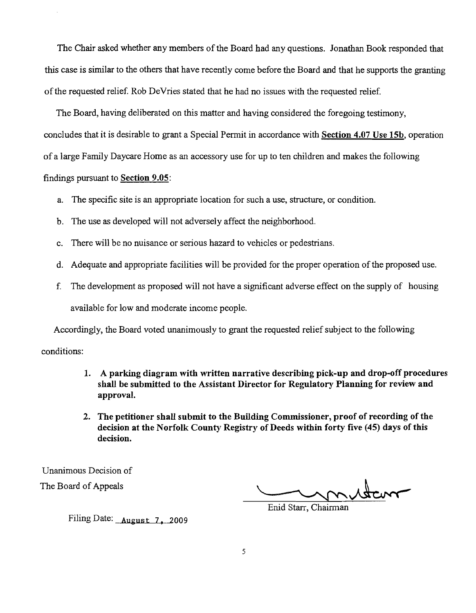The Chair asked whether any members of the Board had any questions. Jonathan Book responded that this case is similar to the others that have recently come before the Board and that he supports the granting ofthe requested relief. Rob DeVries stated that he had no issues with the requested relief.

The Board, having deliberated on this matter and having considered the foregoing testimony, concludes that it is desirable to grant a Special Permit in accordance with Section 4.07 Use I5b, operation of a large Family Daycare Home as an accessory use for up to ten children and makes the following

## findings pursuant to Section 9.05:

- a. The specific site is an appropriate location for such a use, structure, or condition.
- b. The use as developed will not adversely affect the neighborhood.
- c. There will be no nuisance or serious hazard to vehicles or pedestrians.
- d. Adequate and appropriate facilities will be provided for the proper operation of the proposed use.
- f. The development as proposed will not have a significant adverse effect on the supply of housing available for low and moderate income people.

Accordingly, the Board voted unanimously to grant the requested relief subject to the following conditions:

- 1. A parking diagram with written narrative describing pick-up and drop-off procedures shall be submitted to the Assistant Director for Regulatory Planning for review and approval.
- 2. The petitioner shall submit to the Building Commissioner, proof of recording of the decision at the Norfolk County Registry of Deeds within forty five (45) days of this decision.

Unanimous Decision of The Board of Appeals

Enid Starr, Chairman

Filing Date: August 7, 2009